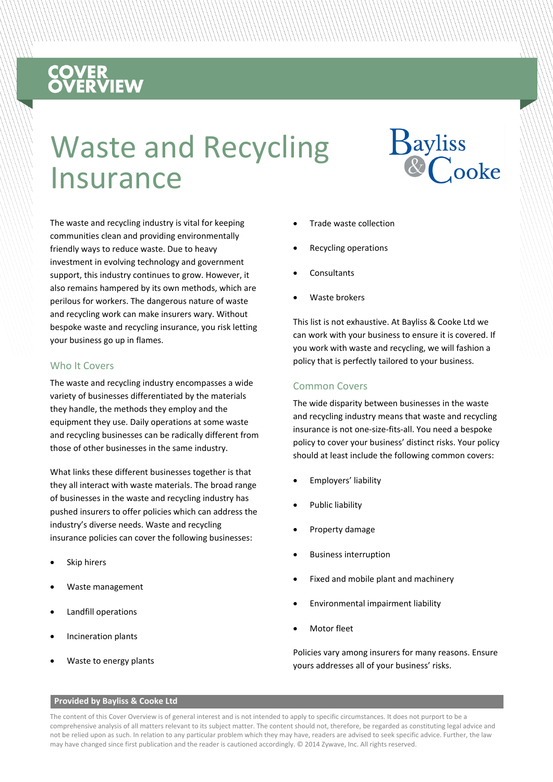# **COVER<br>OVERVIEW**

## Waste and Recycling Insurance



The waste and recycling industry is vital for keeping communities clean and providing environmentally friendly ways to reduce waste. Due to heavy investment in evolving technology and government support, this industry continues to grow. However, it also remains hampered by its own methods, which are perilous for workers. The dangerous nature of waste and recycling work can make insurers wary. Without bespoke waste and recycling insurance, you risk letting your business go up in flames.

#### Who It Covers

The waste and recycling industry encompasses a wide variety of businesses differentiated by the materials they handle, the methods they employ and the equipment they use. Daily operations at some waste and recycling businesses can be radically different from those of other businesses in the same industry.

What links these different businesses together is that they all interact with waste materials. The broad range of businesses in the waste and recycling industry has pushed insurers to offer policies which can address the industry's diverse needs. Waste and recycling insurance policies can cover the following businesses:

- Skip hirers
- Waste management
- Landfill operations
- Incineration plants
- Waste to energy plants
- Trade waste collection
- Recycling operations
- **Consultants**
- Waste brokers

This list is not exhaustive. At Bayliss & Cooke Ltd we can work with your business to ensure it is covered. If you work with waste and recycling, we will fashion a policy that is perfectly tailored to your business.

#### Common Covers

The wide disparity between businesses in the waste and recycling industry means that waste and recycling insurance is not one-size-fits-all. You need a bespoke policy to cover your business' distinct risks. Your policy should at least include the following common covers:

- Employers' liability
- Public liability
- Property damage
- Business interruption
- Fixed and mobile plant and machinery
- Environmental impairment liability
- Motor fleet

Policies vary among insurers for many reasons. Ensure yours addresses all of your business' risks.

#### **Provided by Bayliss & Cooke Ltd**

The content of this Cover Overview is of general interest and is not intended to apply to specific circumstances. It does not purport to be a comprehensive analysis of all matters relevant to its subject matter. The content should not, therefore, be regarded as constituting legal advice and not be relied upon as such. In relation to any particular problem which they may have, readers are advised to seek specific advice. Further, the law may have changed since first publication and the reader is cautioned accordingly. © 2014 Zywave, Inc. All rights reserved.